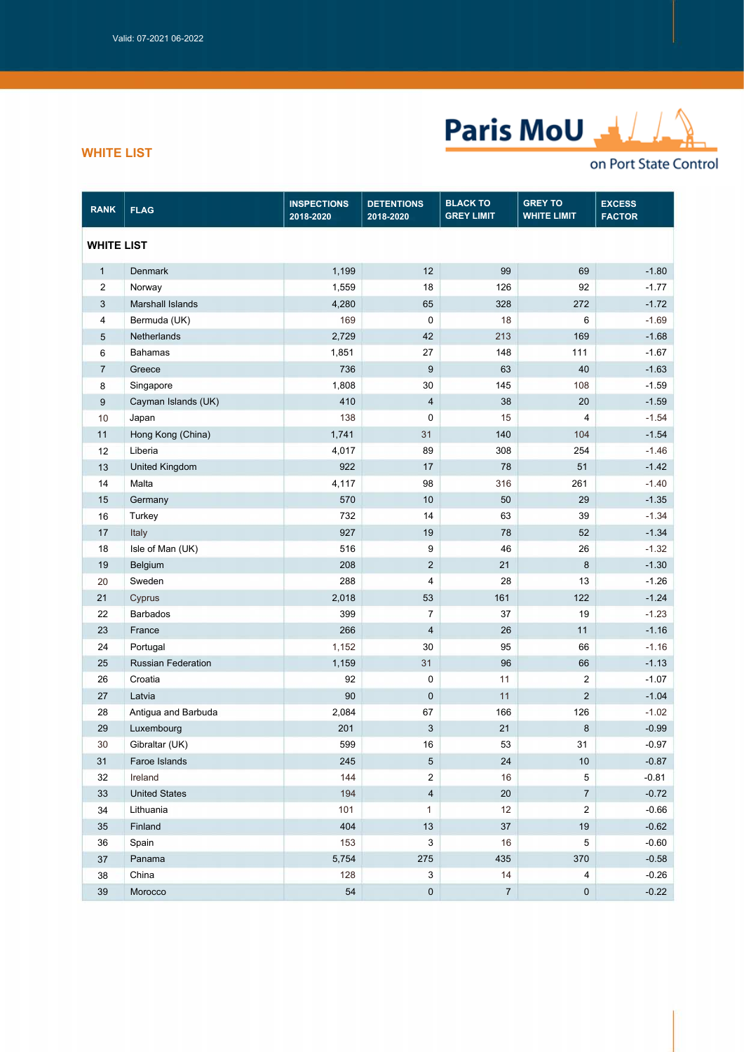

## *WHITE LIST*

## on Port State Control

| <b>RANK</b>       | <b>FLAG</b>               | <b>INSPECTIONS</b><br>2018-2020 | <b>DETENTIONS</b><br>2018-2020 | <b>BLACK TO</b><br><b>GREY LIMIT</b> | <b>GREY TO</b><br><b>WHITE LIMIT</b> | <b>EXCESS</b><br><b>FACTOR</b> |  |
|-------------------|---------------------------|---------------------------------|--------------------------------|--------------------------------------|--------------------------------------|--------------------------------|--|
| <b>WHITE LIST</b> |                           |                                 |                                |                                      |                                      |                                |  |
| $\mathbf{1}$      | <b>Denmark</b>            | 1,199                           | 12                             | 99                                   | 69                                   | $-1.80$                        |  |
| $\overline{2}$    | Norway                    | 1,559                           | 18                             | 126                                  | 92                                   | $-1.77$                        |  |
| 3                 | Marshall Islands          | 4,280                           | 65                             | 328                                  | 272                                  | $-1.72$                        |  |
| 4                 | Bermuda (UK)              | 169                             | $\pmb{0}$                      | 18                                   | 6                                    | $-1.69$                        |  |
| 5                 | Netherlands               | 2,729                           | 42                             | 213                                  | 169                                  | $-1.68$                        |  |
| 6                 | <b>Bahamas</b>            | 1,851                           | 27                             | 148                                  | 111                                  | $-1.67$                        |  |
| $\overline{7}$    | Greece                    | 736                             | 9                              | 63                                   | 40                                   | $-1.63$                        |  |
| 8                 | Singapore                 | 1,808                           | 30                             | 145                                  | 108                                  | $-1.59$                        |  |
| $\boldsymbol{9}$  | Cayman Islands (UK)       | 410                             | $\overline{4}$                 | 38                                   | 20                                   | $-1.59$                        |  |
| 10                | Japan                     | 138                             | 0                              | 15                                   | 4                                    | $-1.54$                        |  |
| 11                | Hong Kong (China)         | 1,741                           | 31                             | 140                                  | 104                                  | $-1.54$                        |  |
| 12                | Liberia                   | 4,017                           | 89                             | 308                                  | 254                                  | $-1.46$                        |  |
| 13                | <b>United Kingdom</b>     | 922                             | $17$                           | 78                                   | 51                                   | $-1.42$                        |  |
| 14                | Malta                     | 4,117                           | 98                             | 316                                  | 261                                  | $-1.40$                        |  |
| 15                | Germany                   | 570                             | 10                             | 50                                   | 29                                   | $-1.35$                        |  |
| 16                | Turkey                    | 732                             | 14                             | 63                                   | 39                                   | $-1.34$                        |  |
| 17                | Italy                     | 927                             | 19                             | 78                                   | 52                                   | $-1.34$                        |  |
| 18                | Isle of Man (UK)          | 516                             | $\boldsymbol{9}$               | 46                                   | 26                                   | $-1.32$                        |  |
| 19                | Belgium                   | 208                             | $\overline{2}$                 | 21                                   | 8                                    | $-1.30$                        |  |
| 20                | Sweden                    | 288                             | $\overline{\mathbf{4}}$        | 28                                   | 13                                   | $-1.26$                        |  |
| 21                | Cyprus                    | 2,018                           | 53                             | 161                                  | 122                                  | $-1.24$                        |  |
| 22                | <b>Barbados</b>           | 399                             | $\overline{7}$                 | 37                                   | 19                                   | $-1.23$                        |  |
| 23                | France                    | 266                             | $\sqrt{4}$                     | 26                                   | 11                                   | $-1.16$                        |  |
| 24                | Portugal                  | 1,152                           | 30                             | 95                                   | 66                                   | $-1.16$                        |  |
| 25                | <b>Russian Federation</b> | 1,159                           | 31                             | 96                                   | 66                                   | $-1.13$                        |  |
| 26                | Croatia                   | 92                              | $\pmb{0}$                      | 11                                   | $\overline{\mathbf{c}}$              | $-1.07$                        |  |
| 27                | Latvia                    | 90                              | $\pmb{0}$                      | 11                                   | $\overline{2}$                       | $-1.04$                        |  |
| 28                | Antigua and Barbuda       | 2,084                           | 67                             | 166                                  | 126                                  | $-1.02$                        |  |
| 29                | Luxembourg                | 201                             | $\sqrt{3}$                     | 21                                   | $\bf 8$                              | $-0.99$                        |  |
| 30                | Gibraltar (UK)            | 599                             | 16                             | 53                                   | 31                                   | $-0.97$                        |  |
| 31                | Faroe Islands             | 245                             | 5                              | 24                                   | $10\,$                               | $-0.87$                        |  |
| 32                | Ireland                   | 144                             | $\sqrt{2}$                     | 16                                   | 5                                    | $-0.81$                        |  |
| 33                | <b>United States</b>      | 194                             | $\sqrt{4}$                     | 20                                   | $\boldsymbol{7}$                     | $-0.72$                        |  |
| 34                | Lithuania                 | 101                             | $\mathbf{1}$                   | 12                                   | $\overline{2}$                       | $-0.66$                        |  |
| 35                | Finland                   | 404                             | 13                             | 37                                   | 19                                   | $-0.62$                        |  |
| 36                | Spain                     | 153                             | 3                              | 16                                   | 5                                    | $-0.60$                        |  |
| 37                | Panama                    | 5,754                           | 275                            | 435                                  | 370                                  | $-0.58$                        |  |
| 38                | China                     | 128                             | 3                              | 14                                   | 4                                    | $-0.26$                        |  |
| 39                | Morocco                   | 54                              | $\pmb{0}$                      | $\sqrt{7}$                           | $\pmb{0}$                            | $-0.22$                        |  |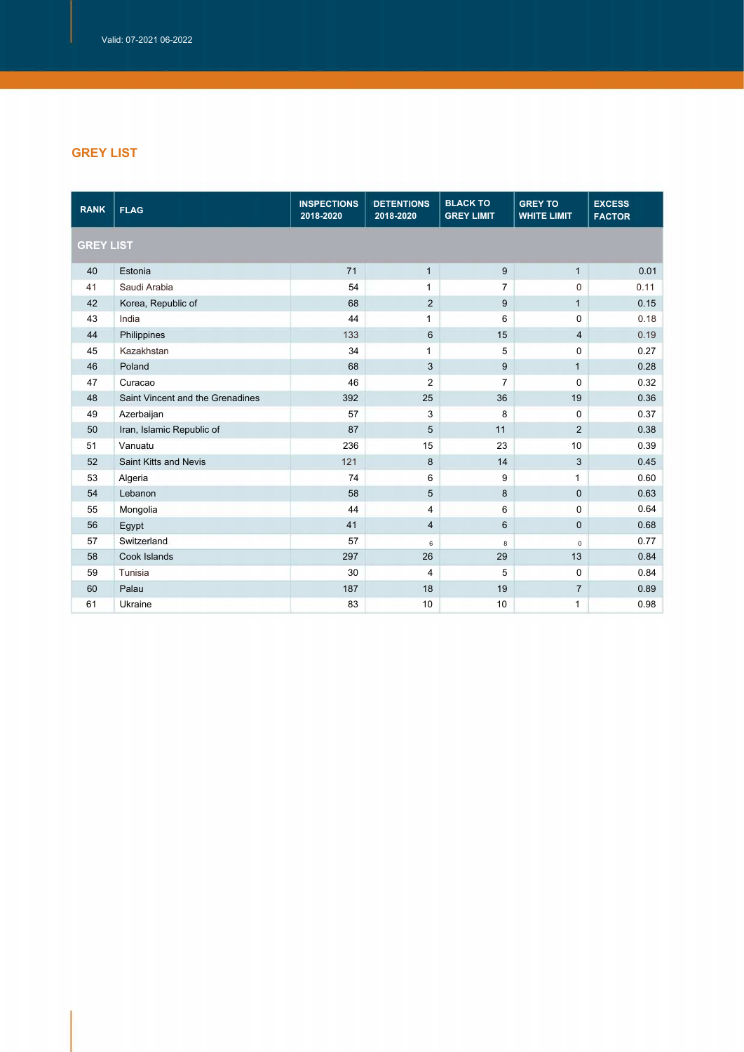## *GREY LIST*

| <b>RANK</b> | <b>FLAG</b>                      | <b>INSPECTIONS</b><br>2018-2020 | <b>DETENTIONS</b><br>2018-2020 | <b>BLACK TO</b><br><b>GREY LIMIT</b> | <b>GREY TO</b><br><b>WHITE LIMIT</b> | <b>EXCESS</b><br><b>FACTOR</b> |  |  |
|-------------|----------------------------------|---------------------------------|--------------------------------|--------------------------------------|--------------------------------------|--------------------------------|--|--|
|             | <b>GREY LIST</b>                 |                                 |                                |                                      |                                      |                                |  |  |
| 40          | Estonia                          | 71                              | $\mathbf{1}$                   | 9                                    | $\mathbf{1}$                         | 0.01                           |  |  |
| 41          | Saudi Arabia                     | 54                              | $\mathbf{1}$                   | $\overline{7}$                       | $\mathbf 0$                          | 0.11                           |  |  |
| 42          | Korea, Republic of               | 68                              | $\overline{2}$                 | 9                                    | $\mathbf{1}$                         | 0.15                           |  |  |
| 43          | India                            | 44                              | 1                              | 6                                    | $\mathbf 0$                          | 0.18                           |  |  |
| 44          | Philippines                      | 133                             | 6                              | 15                                   | $\overline{4}$                       | 0.19                           |  |  |
| 45          | Kazakhstan                       | 34                              | $\mathbf{1}$                   | 5                                    | 0                                    | 0.27                           |  |  |
| 46          | Poland                           | 68                              | 3                              | 9                                    | $\mathbf{1}$                         | 0.28                           |  |  |
| 47          | Curacao                          | 46                              | $\overline{2}$                 | $\overline{7}$                       | $\mathbf 0$                          | 0.32                           |  |  |
| 48          | Saint Vincent and the Grenadines | 392                             | 25                             | 36                                   | 19                                   | 0.36                           |  |  |
| 49          | Azerbaijan                       | 57                              | 3                              | 8                                    | $\mathbf 0$                          | 0.37                           |  |  |
| 50          | Iran, Islamic Republic of        | 87                              | 5                              | 11                                   | $\overline{2}$                       | 0.38                           |  |  |
| 51          | Vanuatu                          | 236                             | 15                             | 23                                   | 10                                   | 0.39                           |  |  |
| 52          | <b>Saint Kitts and Nevis</b>     | 121                             | 8                              | 14                                   | $\mathbf{3}$                         | 0.45                           |  |  |
| 53          | Algeria                          | 74                              | 6                              | 9                                    | $\mathbf{1}$                         | 0.60                           |  |  |
| 54          | Lebanon                          | 58                              | 5                              | 8                                    | $\mathbf 0$                          | 0.63                           |  |  |
| 55          | Mongolia                         | 44                              | 4                              | 6                                    | $\mathbf 0$                          | 0.64                           |  |  |
| 56          | Egypt                            | 41                              | 4                              | $6\phantom{1}$                       | $\pmb{0}$                            | 0.68                           |  |  |
| 57          | Switzerland                      | 57                              | 6                              | 8                                    | $\mathsf 0$                          | 0.77                           |  |  |
| 58          | Cook Islands                     | 297                             | 26                             | 29                                   | 13                                   | 0.84                           |  |  |
| 59          | Tunisia                          | 30                              | $\overline{4}$                 | 5                                    | $\mathbf 0$                          | 0.84                           |  |  |
| 60          | Palau                            | 187                             | 18                             | 19                                   | $\overline{7}$                       | 0.89                           |  |  |
| 61          | Ukraine                          | 83                              | 10                             | 10                                   | $\mathbf{1}$                         | 0.98                           |  |  |